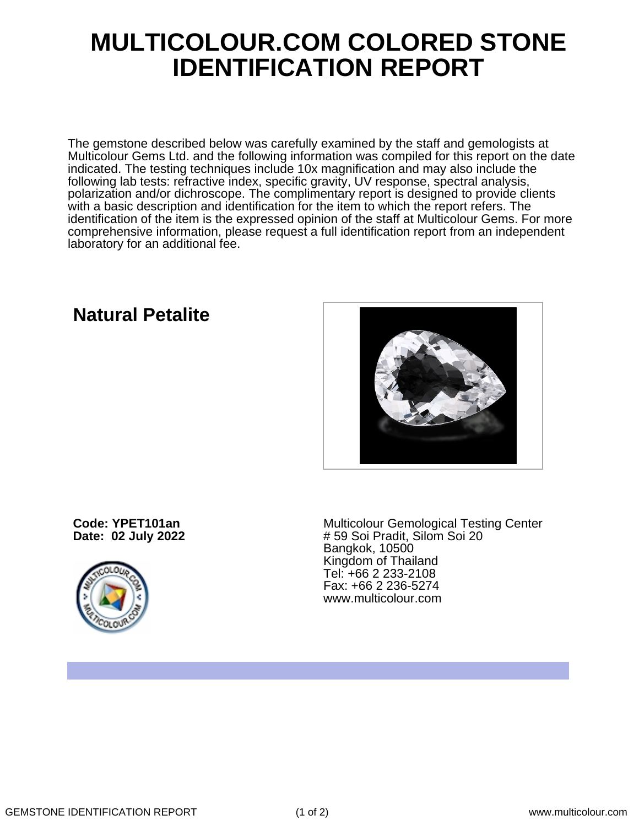## **MULTICOLOUR.COM COLORED STONE IDENTIFICATION REPORT**

The gemstone described below was carefully examined by the staff and gemologists at Multicolour Gems Ltd. and the following information was compiled for this report on the date indicated. The testing techniques include 10x magnification and may also include the following lab tests: refractive index, specific gravity, UV response, spectral analysis, polarization and/or dichroscope. The complimentary report is designed to provide clients with a basic description and identification for the item to which the report refers. The identification of the item is the expressed opinion of the staff at Multicolour Gems. For more comprehensive information, please request a full identification report from an independent laboratory for an additional fee.

## **Natural Petalite**



**Code: YPET101an Date: 02 July 2022**



Multicolour Gemological Testing Center # 59 Soi Pradit, Silom Soi 20 Bangkok, 10500 Kingdom of Thailand Tel: +66 2 233-2108 Fax: +66 2 236-5274 www.multicolour.com